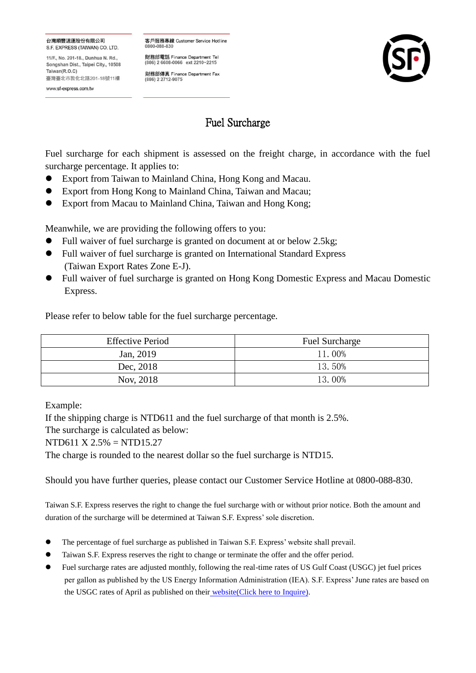## 台灣順豐速運股份有限公司 S.F. EXPRESS (TAIWAN) CO. LTD.

11/F., No. 201-18., Dunhua N. Rd., Songshan Dist., Taipei City., 10508 Taiwan(R $\cap$ C) 臺灣臺北市敦化北路201-18號11樓

www.sf-express.com.tw

客戶服務專線 Customer Service Hotline 0800-088-830

財務部電話 Finance Department Tel (886) 2 6608-0066 ext 2210~2215

財務部傳真 Finance Department Fax<br>(886) 2 2712-9075



## Fuel Surcharge

Fuel surcharge for each shipment is assessed on the freight charge, in accordance with the fuel surcharge percentage. It applies to:

- Export from Taiwan to Mainland China, Hong Kong and Macau.
- Export from Hong Kong to Mainland China, Taiwan and Macau;
- Export from Macau to Mainland China, Taiwan and Hong Kong;

Meanwhile, we are providing the following offers to you:

- Full waiver of fuel surcharge is granted on document at or below 2.5kg;
- Full waiver of fuel surcharge is granted on International Standard Express (Taiwan Export Rates Zone E-J).
- Full waiver of fuel surcharge is granted on Hong Kong Domestic Express and Macau Domestic Express.

Please refer to below table for the fuel surcharge percentage.

| <b>Effective Period</b> | <b>Fuel Surcharge</b> |
|-------------------------|-----------------------|
| Jan, 2019               | 11.00%                |
| Dec, 2018               | 13.50%                |
| Nov, 2018               | 13.00%                |

Example:

If the shipping charge is NTD611 and the fuel surcharge of that month is 2.5%.

The surcharge is calculated as below:

NTD611 X 2.5% = NTD15.27

The charge is rounded to the nearest dollar so the fuel surcharge is NTD15.

Should you have further queries, please contact our Customer Service Hotline at 0800-088-830.

Taiwan S.F. Express reserves the right to change the fuel surcharge with or without prior notice. Both the amount and duration of the surcharge will be determined at Taiwan S.F. Express' sole discretion.

- The percentage of fuel surcharge as published in Taiwan S.F. Express' website shall prevail.
- Taiwan S.F. Express reserves the right to change or terminate the offer and the offer period.
- Fuel surcharge rates are adjusted monthly, following the real-time rates of US Gulf Coast (USGC) jet fuel prices per gallon as published by the US Energy Information Administration (IEA). S.F. Express' June rates are based on the USGC rates of April as published on their [website\(Click here to](http://www.eia.gov/opendata/qb.cfm?sdid=PET.EER_EPJK_PF4_RGC_DPG.M) Inquire).